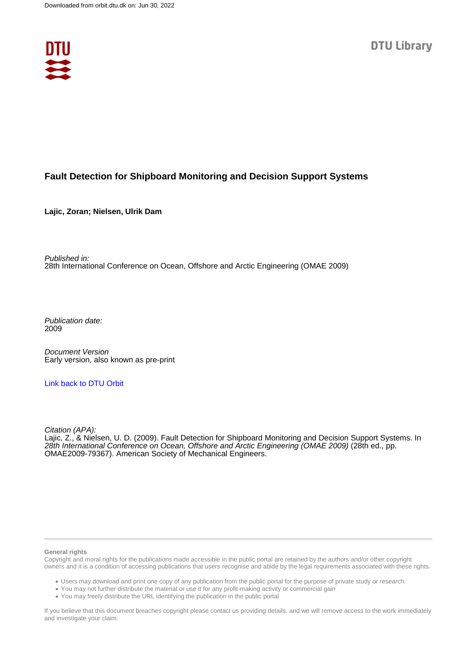

# **Fault Detection for Shipboard Monitoring and Decision Support Systems**

**Lajic, Zoran; Nielsen, Ulrik Dam**

Published in: 28th International Conference on Ocean, Offshore and Arctic Engineering (OMAE 2009)

Publication date: 2009

Document Version Early version, also known as pre-print

# [Link back to DTU Orbit](https://orbit.dtu.dk/en/publications/7fab35ce-c44a-49c9-989a-a7aa522f13f1)

Citation (APA):

Lajic, Z., & Nielsen, U. D. (2009). Fault Detection for Shipboard Monitoring and Decision Support Systems. In 28th International Conference on Ocean, Offshore and Arctic Engineering (OMAE 2009) (28th ed., pp. OMAE2009-79367). American Society of Mechanical Engineers.

#### **General rights**

Copyright and moral rights for the publications made accessible in the public portal are retained by the authors and/or other copyright owners and it is a condition of accessing publications that users recognise and abide by the legal requirements associated with these rights.

Users may download and print one copy of any publication from the public portal for the purpose of private study or research.

- You may not further distribute the material or use it for any profit-making activity or commercial gain
- You may freely distribute the URL identifying the publication in the public portal

If you believe that this document breaches copyright please contact us providing details, and we will remove access to the work immediately and investigate your claim.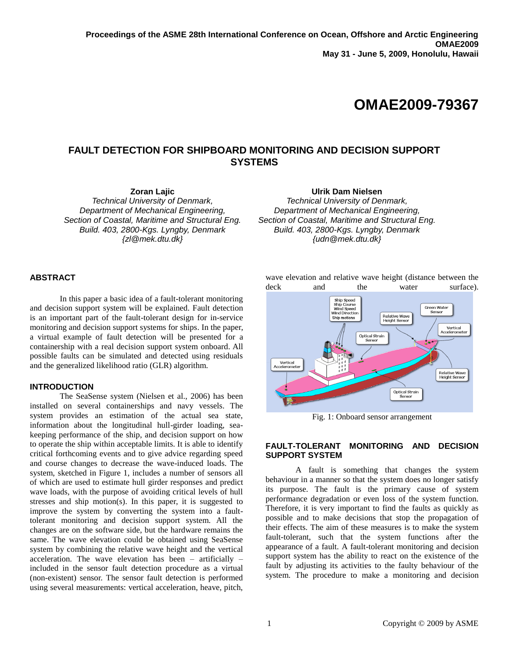

# **FAULT DETECTION FOR SHIPBOARD MONITORING AND DECISION SUPPORT SYSTEMS**

**Zoran Lajic**

*Technical University of Denmark, Department of Mechanical Engineering, Section of Coastal, Maritime and Structural Eng. Build. 403, 2800-Kgs. Lyngby, Denmark {zl@mek.dtu.dk}*

**ABSTRACT**

In this paper a basic idea of a fault-tolerant monitoring and decision support system will be explained. Fault detection is an important part of the fault-tolerant design for in-service monitoring and decision support systems for ships. In the paper, a virtual example of fault detection will be presented for a containership with a real decision support system onboard. All possible faults can be simulated and detected using residuals and the generalized likelihood ratio (GLR) algorithm.

# **INTRODUCTION**

The SeaSense system (Nielsen et al., 2006) has been installed on several containerships and navy vessels. The system provides an estimation of the actual sea state, information about the longitudinal hull-girder loading, seakeeping performance of the ship, and decision support on how to operate the ship within acceptable limits. It is able to identify critical forthcoming events and to give advice regarding speed and course changes to decrease the wave-induced loads. The system, sketched in Figure 1, includes a number of sensors all of which are used to estimate hull girder responses and predict wave loads, with the purpose of avoiding critical levels of hull stresses and ship motion(s). In this paper, it is suggested to improve the system by converting the system into a faulttolerant monitoring and decision support system. All the changes are on the software side, but the hardware remains the same. The wave elevation could be obtained using SeaSense system by combining the relative wave height and the vertical acceleration. The wave elevation has been – artificially – included in the sensor fault detection procedure as a virtual (non-existent) sensor. The sensor fault detection is performed using several measurements: vertical acceleration, heave, pitch,

**Ulrik Dam Nielsen** *Technical University of Denmark, Department of Mechanical Engineering, Section of Coastal, Maritime and Structural Eng. Build. 403, 2800-Kgs. Lyngby, Denmark {udn@mek.dtu.dk}*



wave elevation and relative wave height (distance between the

Fig. 1: Onboard sensor arrangement

# **FAULT-TOLERANT MONITORING AND DECISION SUPPORT SYSTEM**

A fault is something that changes the system behaviour in a manner so that the system does no longer satisfy its purpose. The fault is the primary cause of system performance degradation or even loss of the system function. Therefore, it is very important to find the faults as quickly as possible and to make decisions that stop the propagation of their effects. The aim of these measures is to make the system fault-tolerant, such that the system functions after the appearance of a fault. A fault-tolerant monitoring and decision support system has the ability to react on the existence of the fault by adjusting its activities to the faulty behaviour of the system. The procedure to make a monitoring and decision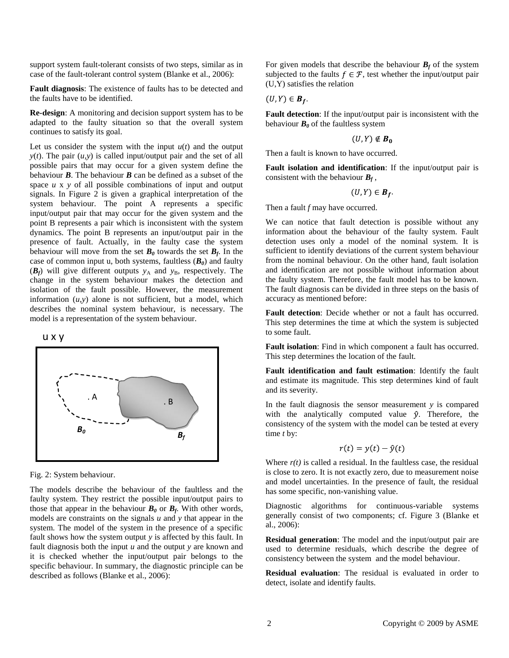support system fault-tolerant consists of two steps, similar as in case of the fault-tolerant control system (Blanke et al., 2006):

**Fault diagnosis**: The existence of faults has to be detected and the faults have to be identified.

**Re-design**: A monitoring and decision support system has to be adapted to the faulty situation so that the overall system continues to satisfy its goal.

Let us consider the system with the input  $u(t)$  and the output  $y(t)$ . The pair  $(u, y)$  is called input/output pair and the set of all possible pairs that may occur for a given system define the behaviour  $\vec{B}$ . The behaviour  $\vec{B}$  can be defined as a subset of the space *u* x *y* of all possible combinations of input and output signals. In Figure 2 is given a graphical interpretation of the system behaviour. The point A represents a specific input/output pair that may occur for the given system and the point B represents a pair which is inconsistent with the system dynamics. The point B represents an input/output pair in the presence of fault. Actually, in the faulty case the system behaviour will move from the set  $B_0$  towards the set  $B_f$ . In the case of common input u, both systems, faultless  $(B_0)$  and faulty  $(B_f)$  will give different outputs  $y_A$  and  $y_B$ , respectively. The change in the system behaviour makes the detection and isolation of the fault possible. However, the measurement information  $(u, y)$  alone is not sufficient, but a model, which describes the nominal system behaviour, is necessary. The model is a representation of the system behaviour.





Fig. 2: System behaviour.

The models describe the behaviour of the faultless and the faulty system. They restrict the possible input/output pairs to those that appear in the behaviour  $\mathbf{B}_0$  or  $\mathbf{B}_f$ . With other words, models are constraints on the signals *u* and *y* that appear in the system. The model of the system in the presence of a specific fault shows how the system output *y* is affected by this fault. In fault diagnosis both the input *u* and the output *y* are known and it is checked whether the input/output pair belongs to the specific behaviour. In summary, the diagnostic principle can be described as follows (Blanke et al., 2006):

For given models that describe the behaviour  $B_f$  of the system subjected to the faults  $f \in \mathcal{F}$ , test whether the input/output pair (U,Y) satisfies the relation

$$
(U,Y)\in \boldsymbol{B}_f.
$$

**Fault detection**: If the input/output pair is inconsistent with the behaviour  $B_0$  of the faultless system

$$
(U,Y)\notin \boldsymbol{B}_0
$$

Then a fault is known to have occurred.

**Fault isolation and identification**: If the input/output pair is consistent with the behaviour  $B_f$ ,

$$
(U,Y)\in \boldsymbol{B}_f.
$$

Then a fault *f* may have occurred.

We can notice that fault detection is possible without any information about the behaviour of the faulty system. Fault detection uses only a model of the nominal system. It is sufficient to identify deviations of the current system behaviour from the nominal behaviour. On the other hand, fault isolation and identification are not possible without information about the faulty system. Therefore, the fault model has to be known. The fault diagnosis can be divided in three steps on the basis of accuracy as mentioned before:

**Fault detection**: Decide whether or not a fault has occurred. This step determines the time at which the system is subjected to some fault.

**Fault isolation**: Find in which component a fault has occurred. This step determines the location of the fault.

**Fault identification and fault estimation**: Identify the fault and estimate its magnitude. This step determines kind of fault and its severity.

In the fault diagnosis the sensor measurement *y* is compared with the analytically computed value  $\hat{v}$ . Therefore, the consistency of the system with the model can be tested at every time *t* by:

$$
r(t) = y(t) - \hat{y}(t)
$$

Where  $r(t)$  is called a residual. In the faultless case, the residual is close to zero. It is not exactly zero, due to measurement noise and model uncertainties. In the presence of fault, the residual has some specific, non-vanishing value.

Diagnostic algorithms for continuous-variable systems generally consist of two components; cf. Figure 3 (Blanke et al., 2006):

**Residual generation**: The model and the input/output pair are used to determine residuals, which describe the degree of consistency between the system and the model behaviour.

**Residual evaluation**: The residual is evaluated in order to detect, isolate and identify faults.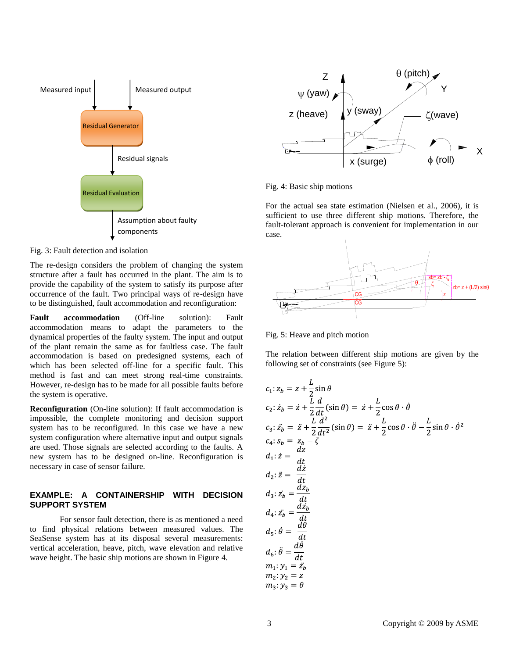

Fig. 3: Fault detection and isolation

The re-design considers the problem of changing the system structure after a fault has occurred in the plant. The aim is to provide the capability of the system to satisfy its purpose after occurrence of the fault. Two principal ways of re-design have to be distinguished, fault accommodation and reconfiguration:

**Fault accommodation** (Off-line solution): Fault accommodation means to adapt the parameters to the dynamical properties of the faulty system. The input and output of the plant remain the same as for faultless case. The fault accommodation is based on predesigned systems, each of which has been selected off-line for a specific fault. This method is fast and can meet strong real-time constraints. However, re-design has to be made for all possible faults before the system is operative.

**Reconfiguration** (On-line solution): If fault accommodation is impossible, the complete monitoring and decision support system has to be reconfigured. In this case we have a new system configuration where alternative input and output signals are used. Those signals are selected according to the faults. A new system has to be designed on-line. Reconfiguration is necessary in case of sensor failure.

# **EXAMPLE: A CONTAINERSHIP WITH DECISION SUPPORT SYSTEM**

For sensor fault detection, there is as mentioned a need to find physical relations between measured values. The SeaSense system has at its disposal several measurements: vertical acceleration, heave, pitch, wave elevation and relative wave height. The basic ship motions are shown in Figure 4.



Fig. 4: Basic ship motions

For the actual sea state estimation (Nielsen et al., 2006), it is sufficient to use three different ship motions. Therefore, the fault-tolerant approach is convenient for implementation in our case.



Fig. 5: Heave and pitch motion

The relation between different ship motions are given by the following set of constraints (see Figure 5):

$$
c_1: z_b = z + \frac{L}{2} \sin \theta
$$
  
\n
$$
c_2: \dot{z}_b = \dot{z} + \frac{L}{2} \frac{d}{dt} (\sin \theta) = \dot{z} + \frac{L}{2} \cos \theta \cdot \dot{\theta}
$$
  
\n
$$
c_3: \ddot{z}_b = \ddot{z} + \frac{L}{2} \frac{d^2}{dt^2} (\sin \theta) = \ddot{z} + \frac{L}{2} \cos \theta \cdot \ddot{\theta} - \frac{L}{2} \sin \theta \cdot \dot{\theta}^2
$$
  
\n
$$
c_4: s_b = z_b - \zeta
$$
  
\n
$$
d_1: \dot{z} = \frac{dz}{dt}
$$
  
\n
$$
d_2: \ddot{z} = \frac{dz}{dt}
$$
  
\n
$$
d_3: \dot{z}_b = \frac{dz_b}{dt}
$$
  
\n
$$
d_4: \ddot{z}_b = \frac{d\dot{z}_b}{dt}
$$
  
\n
$$
d_5: \dot{\theta} = \frac{d\theta}{dt}
$$
  
\n
$$
d_6: \ddot{\theta} = \frac{d\dot{\theta}}{dt}
$$
  
\n
$$
m_1: y_1 = \ddot{z}_b
$$
  
\n
$$
m_2: y_2 = z
$$
  
\n
$$
m_3: y_3 = \theta
$$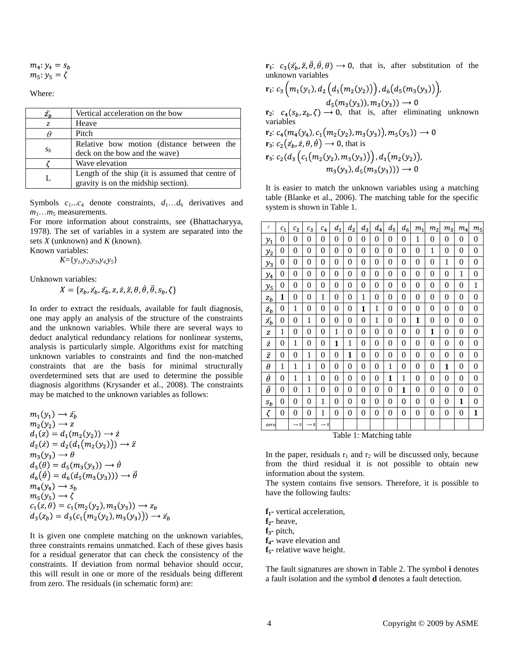$$
m_4: y_4 = s_k
$$
  

$$
m_5: y_5 = \zeta
$$

Where:

| $\ddot{z_h}$ | Vertical acceleration on the bow                                                        |
|--------------|-----------------------------------------------------------------------------------------|
| Z.           | Heave                                                                                   |
| Ĥ            | Pitch                                                                                   |
| $s_b$        | Relative bow motion (distance between the<br>deck on the bow and the wave)              |
|              | Wave elevation                                                                          |
|              | Length of the ship (it is assumed that centre of<br>gravity is on the midship section). |

Symbols  $c_1...c_4$  denote constraints,  $d_1...d_6$  derivatives and  $m_1...m_5$  measurements.

For more information about constraints, see (Bhattacharyya, 1978). The set of variables in a system are separated into the sets *X* (unknown) and *K* (known).

Known variables:

*K*={*y1,y2,y3,y4,y5*}

Unknown variables:

$$
X = \{z_b, \dot{z_b}, \dot{z_b}, z, \dot{z}, \ddot{z}, \theta, \dot{\theta}, \ddot{\theta}, s_b, \zeta\}
$$

In order to extract the residuals, available for fault diagnosis, one may apply an analysis of the structure of the constraints and the unknown variables. While there are several ways to deduct analytical redundancy relations for nonlinear systems, analysis is particularly simple. Algorithms exist for matching unknown variables to constraints and find the non-matched constraints that are the basis for minimal structurally overdetermined sets that are used to determine the possible diagnosis algorithms (Krysander et al., 2008). The constraints may be matched to the unknown variables as follows:

$$
m_1(y_1) \to \ddot{z}_b
$$
  
\n
$$
m_2(y_2) \to z
$$
  
\n
$$
d_1(z) = d_1(m_2(y_2)) \to \ddot{z}
$$
  
\n
$$
d_2(\dot{z}) = d_2(d_1(m_2(y_2))) \to \ddot{z}
$$
  
\n
$$
m_3(y_3) \to \theta
$$
  
\n
$$
d_5(\theta) = d_5(m_3(y_3)) \to \ddot{\theta}
$$
  
\n
$$
d_6(\dot{\theta}) = d_6(d_5(m_3(y_3))) \to \ddot{\theta}
$$
  
\n
$$
m_4(y_4) \to s_b
$$
  
\n
$$
m_5(y_5) \to \zeta
$$
  
\n
$$
c_1(z, \theta) = c_1(m_2(y_2), m_3(y_3)) \to z_b
$$
  
\n
$$
d_3(z_b) = d_3(c_1(m_2(y_2), m_3(y_3))) \to \ddot{z}_b
$$

It is given one complete matching on the unknown variables, three constraints remains unmatched. Each of these gives basis for a residual generator that can check the consistency of the constraints. If deviation from normal behavior should occur, this will result in one or more of the residuals being different from zero. The residuals (in schematic form) are:

 $\mathbf{r}_1$ :  $c_3(\vec{z}_b, \vec{z}, \vec{\theta}, \vec{\theta}, \theta) \rightarrow 0$ , that is, after substitution of the unknown variables

$$
\mathbf{r}_1: c_3(m_1(y_1), d_2(d_1(m_2(y_2))), d_6(d_5(m_3(y_3))), d_5(m_3(y_3)), m_3(y_3)) \rightarrow 0
$$

 $\mathbf{r}_2$ :  $c_4(s_b, z_b, \zeta) \rightarrow 0$ , that is, after eliminating unknown variables  $\Omega$ 

$$
\mathbf{r}_2: c_4(m_4(y_4), c_1(m_2(y_2), m_3(y_3)), m_5(y_5)) \rightarrow
$$
  
\n
$$
\mathbf{r}_3: c_2(z_b, \dot{z}, \theta, \dot{\theta}) \rightarrow 0, \text{ that is}
$$
  
\n
$$
\mathbf{r}_3: c_2(d_3\left(c_1(m_2(y_2), m_3(y_3))\right), d_1(m_2(y_2)),
$$
  
\n
$$
m_3(y_3), d_5(m_3(y_3))) \rightarrow 0
$$

It is easier to match the unknown variables using a matching table (Blanke et al., 2006). The matching table for the specific system is shown in Table 1.

| $\prime$        | c <sub>1</sub> | c <sub>2</sub>  | c <sub>3</sub>      | $\mathcal{C}_4$ | $d_1$ | $d_{\rm 2}$  | $d_3\,$ | $\mathfrak{d}_4$ | $d_{\rm 5}$  | $d_{\rm 6}$ | m <sub>1</sub>   | m <sub>2</sub> | $m_3$ | m <sub>4</sub>   | $m_{\rm 5}$    |
|-----------------|----------------|-----------------|---------------------|-----------------|-------|--------------|---------|------------------|--------------|-------------|------------------|----------------|-------|------------------|----------------|
| $y_{1}$         | 0              | 0               | $\theta$            | $\overline{0}$  | 0     | 0            | 0       | $\overline{0}$   | 0            | 0           | 1                | $\overline{0}$ | 0     | 0                | 0              |
| $y_{2}$         | 0              | 0               | 0                   | $\overline{0}$  | 0     | 0            | 0       | $\overline{0}$   | 0            | 0           | $\overline{0}$   | 1              | 0     | $\boldsymbol{0}$ | $\overline{0}$ |
| $y_3$           | 0              | 0               | 0                   | $\overline{0}$  | 0     | 0            | 0       | $\overline{0}$   | 0            | 0           | $\overline{0}$   | 0              | 1     | $\overline{0}$   | $\overline{0}$ |
| $\mathcal{Y}_4$ | 0              | 0               | $\overline{0}$      | $\overline{0}$  | 0     | 0            | 0       | $\overline{0}$   | 0            | 0           | $\theta$         | 0              | 0     | 1                | $\overline{0}$ |
| $y_{5}$         | 0              | 0               | 0                   | $\overline{0}$  | 0     | 0            | 0       | $\overline{0}$   | 0            | 0           | 0                | 0              | 0     | 0                | 1              |
| $z_b$           | 1              | 0               | 0                   | 1               | 0     | 0            | 1       | $\overline{0}$   | 0            | 0           | 0                | $\overline{0}$ | 0     | $\boldsymbol{0}$ | $\overline{0}$ |
| $\dot{z}_b$     | 0              | 1               | 0                   | $\overline{0}$  | 0     | 0            | 1       | 1                | 0            | 0           | $\theta$         | $\overline{0}$ | 0     | $\overline{0}$   | 0              |
| $\ddot{z_b}$    | 0              | 0               | 1                   | $\overline{0}$  | 0     | 0            | 0       | 1                | 0            | 0           | 1                | $\overline{0}$ | 0     | 0                | $\overline{0}$ |
| Z               | 1              | 0               | 0                   | $\overline{0}$  | 1     | 0            | 0       | $\overline{0}$   | 0            | 0           | $\theta$         | 1              | 0     | $\overline{0}$   | 0              |
| ż               | 0              | 1               | 0                   | $\overline{0}$  | 1     | $\mathbf{1}$ | 0       | $\overline{0}$   | 0            | 0           | $\overline{0}$   | 0              | 0     | 0                | 0              |
| ż               | 0              | 0               | $\mathbf{1}$        | $\overline{0}$  | 0     | 1            | 0       | $\overline{0}$   | 0            | 0           | $\boldsymbol{0}$ | 0              | 0     | 0                | $\overline{0}$ |
| θ               | 1              | 1               | 1                   | $\overline{0}$  | 0     | 0            | 0       | $\overline{0}$   | $\mathbf{1}$ | 0           | $\boldsymbol{0}$ | 0              | 1     | 0                | 0              |
| $\dot{\theta}$  | 0              | 1               | $\mathbf{1}$        | $\overline{0}$  | 0     | 0            | 0       | $\boldsymbol{0}$ | 1            | 1           | 0                | 0              | 0     | 0                | 0              |
| Ö               | 0              | 0               | 1                   | $\overline{0}$  | 0     | 0            | 0       | $\overline{0}$   | 0            | 1           | $\overline{0}$   | 0              | 0     | $\boldsymbol{0}$ | 0              |
| $s_b$           | 0              | 0               | $\theta$            | 1               | 0     | 0            | 0       | $\overline{0}$   | 0            | 0           | $\boldsymbol{0}$ | $\overline{0}$ | 0     | 1                | 0              |
| ζ               | 0              | 0               | 0                   | 1               | 0     | 0            | 0       | $\overline{0}$   | 0            | 0           | $\overline{0}$   | 0              | 0     | 0                | 1              |
| zero            |                | $\rightarrow 0$ | $\longrightarrow 0$ | $\rightarrow 0$ |       |              |         |                  |              |             |                  |                |       |                  |                |

Table 1: Matching table

In the paper, residuals  $r_1$  and  $r_2$  will be discussed only, because from the third residual it is not possible to obtain new information about the system.

The system contains five sensors. Therefore, it is possible to have the following faults:

**f1-** vertical acceleration, **f2-** heave, **f3-** pitch, **f4-** wave elevation and **f5-** relative wave height.

The fault signatures are shown in Table 2. The symbol **i** denotes a fault isolation and the symbol **d** denotes a fault detection.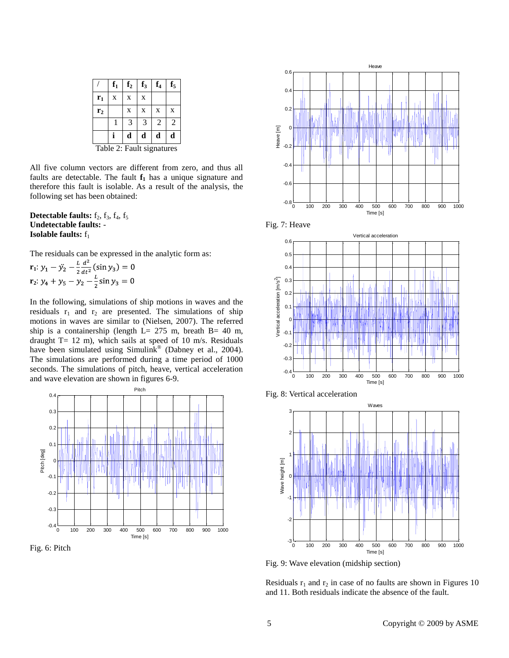|                           | $f_1$ | f <sub>2</sub> | $f_3$ | $\mathbf{f}_4$ | f <sub>5</sub> |  |
|---------------------------|-------|----------------|-------|----------------|----------------|--|
| $r_1$                     | X     | X              | X     |                |                |  |
| r <sub>2</sub>            |       | X              | X     | X              | $\bf{X}$       |  |
|                           |       | 3              | 3     | $\overline{c}$ | $\overline{c}$ |  |
|                           |       | d              | d     | d              | d              |  |
| Table 2: Fault signatures |       |                |       |                |                |  |

All five column vectors are different from zero, and thus all faults are detectable. The fault **f<sup>1</sup>** has a unique signature and therefore this fault is isolable. As a result of the analysis, the following set has been obtained:

**Detectable faults:**  $f_2$ ,  $f_3$ ,  $f_4$ ,  $f_5$ **Undetectable faults:** - **Isolable faults:** f<sub>1</sub>

The residuals can be expressed in the analytic form as:

$$
\mathbf{r}_1: y_1 - \ddot{y}_2 - \frac{L}{2} \frac{d^2}{dt^2} (\sin y_3) = 0
$$
  

$$
\mathbf{r}_2: y_4 + y_5 - y_2 - \frac{L}{2} \sin y_3 = 0
$$

In the following, simulations of ship motions in waves and the residuals  $r_1$  and  $r_2$  are presented. The simulations of ship motions in waves are similar to (Nielsen, 2007). The referred ship is a containership (length  $L = 275$  m, breath  $B = 40$  m, draught T= 12 m), which sails at speed of 10 m/s. Residuals have been simulated using Simulink<sup>®</sup> (Dabney et al., 2004). The simulations are performed during a time period of 1000 seconds. The simulations of pitch, heave, vertical acceleration and wave elevation are shown in figures 6-9.



Fig. 6: Pitch











Fig. 9: Wave elevation (midship section)

Residuals  $r_1$  and  $r_2$  in case of no faults are shown in Figures 10 and 11. Both residuals indicate the absence of the fault.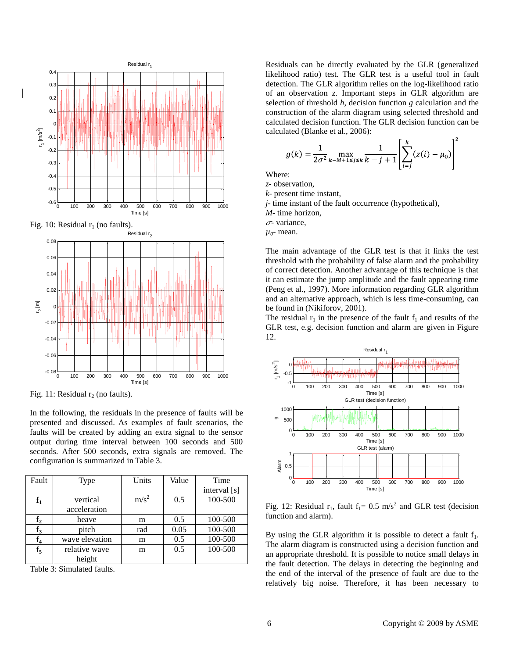

Fig. 10: Residual  $r_1$  (no faults).



Fig. 11: Residual  $r_2$  (no faults).

In the following, the residuals in the presence of faults will be presented and discussed. As examples of fault scenarios, the faults will be created by adding an extra signal to the sensor output during time interval between 100 seconds and 500 seconds. After 500 seconds, extra signals are removed. The configuration is summarized in Table 3.

| Fault          | Type           | Units | Value | Time         |  |
|----------------|----------------|-------|-------|--------------|--|
|                |                |       |       | interval [s] |  |
| $f_1$          | vertical       | m/s   | 0.5   | 100-500      |  |
|                | acceleration   |       |       |              |  |
| ${\bf f}_2$    | heave          | m     | 0.5   | 100-500      |  |
| $\mathbf{f}_3$ | pitch          | rad   | 0.05  | 100-500      |  |
| f <sub>4</sub> | wave elevation | m     | 0.5   | 100-500      |  |
| f <sub>5</sub> | relative wave  | m     | 0.5   | 100-500      |  |
|                | height         |       |       |              |  |

Table 3: Simulated faults.

Residuals can be directly evaluated by the GLR (generalized likelihood ratio) test. The GLR test is a useful tool in fault detection. The GLR algorithm relies on the log-likelihood ratio of an observation *z*. Important steps in GLR algorithm are selection of threshold *h*, decision function *g* calculation and the construction of the alarm diagram using selected threshold and calculated decision function. The GLR decision function can be calculated (Blanke et al., 2006):

$$
g(k) = \frac{1}{2\sigma^2} \max_{k-M+1 \le j \le k} \frac{1}{k-j+1} \left[ \sum_{i=j}^{k} (z(i) - \mu_0) \right]^2
$$

Where:

*z*- observation,

*k*- present time instant,

*j*- time instant of the fault occurrence (hypothetical),

*M*- time horizon,

 $\sigma$ - variance.

 $\mu_0$ - mean.

The main advantage of the GLR test is that it links the test threshold with the probability of false alarm and the probability of correct detection. Another advantage of this technique is that it can estimate the jump amplitude and the fault appearing time (Peng et al., 1997). More information regarding GLR algorithm and an alternative approach, which is less time-consuming, can be found in (Nikiforov, 2001).

The residual  $r_1$  in the presence of the fault  $f_1$  and results of the GLR test, e.g. decision function and alarm are given in Figure 12.



Fig. 12: Residual  $r_1$ , fault  $f_1 = 0.5$  m/s<sup>2</sup> and GLR test (decision function and alarm).

By using the GLR algorithm it is possible to detect a fault  $f_1$ . The alarm diagram is constructed using a decision function and an appropriate threshold. It is possible to notice small delays in the fault detection. The delays in detecting the beginning and the end of the interval of the presence of fault are due to the relatively big noise. Therefore, it has been necessary to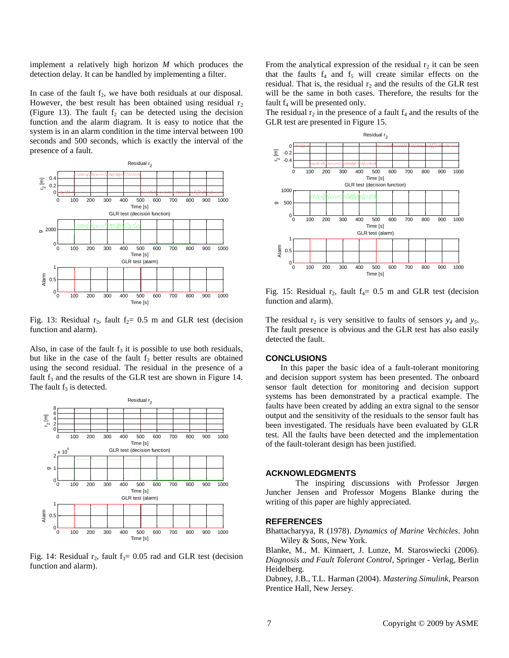implement a relatively high horizon *M* which produces the detection delay. It can be handled by implementing a filter.

In case of the fault  $f_2$ , we have both residuals at our disposal. However, the best result has been obtained using residual  $r<sub>2</sub>$ (Figure 13). The fault  $f_2$  can be detected using the decision function and the alarm diagram. It is easy to notice that the system is in an alarm condition in the time interval between 100 seconds and 500 seconds, which is exactly the interval of the presence of a fault.



Fig. 13: Residual  $r_2$ , fault  $f_2 = 0.5$  m and GLR test (decision function and alarm).

Also, in case of the fault  $f_3$  it is possible to use both residuals, but like in the case of the fault  $f_2$  better results are obtained using the second residual. The residual in the presence of a fault  $f_3$  and the results of the GLR test are shown in Figure 14. The fault  $f_3$  is detected.



Fig. 14: Residual  $r_2$ , fault  $f_3 = 0.05$  rad and GLR test (decision function and alarm).

From the analytical expression of the residual  $r_2$  it can be seen that the faults  $f_4$  and  $f_5$  will create similar effects on the residual. That is, the residual  $r_2$  and the results of the GLR test will be the same in both cases. Therefore, the results for the fault  $f_4$  will be presented only.

The residual  $r_2$  in the presence of a fault  $f_4$  and the results of the GLR test are presented in Figure 15.



Fig. 15: Residual  $r_2$ , fault  $f_4 = 0.5$  m and GLR test (decision function and alarm).

The residual  $r_2$  is very sensitive to faults of sensors  $y_4$  and  $y_5$ . The fault presence is obvious and the GLR test has also easily detected the fault.

## **CONCLUSIONS**

In this paper the basic idea of a fault-tolerant monitoring and decision support system has been presented. The onboard sensor fault detection for monitoring and decision support systems has been demonstrated by a practical example. The faults have been created by adding an extra signal to the sensor output and the sensitivity of the residuals to the sensor fault has been investigated. The residuals have been evaluated by GLR test. All the faults have been detected and the implementation of the fault-tolerant design has been justified.

### **ACKNOWLEDGMENTS**

The inspiring discussions with Professor Jørgen Juncher Jensen and Professor Mogens Blanke during the writing of this paper are highly appreciated.

## **REFERENCES**

Bhattacharyya, R (1978). *Dynamics of Marine Vechicles*. John Wiley & Sons, New York.

Blanke, M., M. Kinnaert, J. Lunze, M. Staroswiecki (2006). *Diagnosis and Fault Tolerant Control*, Springer - Verlag, Berlin Heidelberg.

Dabney, J.B., T.L. Harman (2004). *Mastering Simulink*, Pearson Prentice Hall, New Jersey.